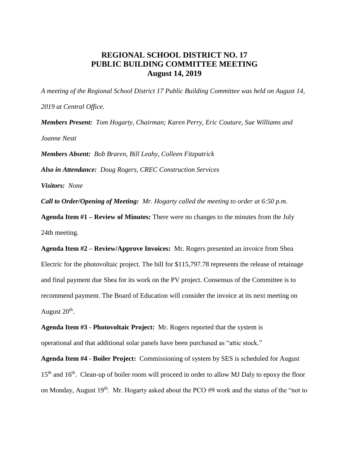## **REGIONAL SCHOOL DISTRICT NO. 17 PUBLIC BUILDING COMMITTEE MEETING August 14, 2019**

*A meeting of the Regional School District 17 Public Building Committee was held on August 14, 2019 at Central Office. Members Present: Tom Hogarty, Chairman; Karen Perry, Eric Couture, Sue Williams and* 

*Joanne Nesti*

*Members Absent: Bob Braren, Bill Leahy, Colleen Fitzpatrick* 

*Also in Attendance: Doug Rogers, CREC Construction Services*

*Visitors: None*

*Call to Order/Opening of Meeting: Mr. Hogarty called the meeting to order at 6:50 p.m.* 

**Agenda Item #1 – Review of Minutes:** There were no changes to the minutes from the July 24th meeting.

**Agenda Item #2 – Review/Approve Invoices:** Mr. Rogers presented an invoice from Shea Electric for the photovoltaic project. The bill for \$115,797.78 represents the release of retainage and final payment due Shea for its work on the PV project. Consensus of the Committee is to recommend payment. The Board of Education will consider the invoice at its next meeting on August  $20<sup>th</sup>$ .

**Agenda Item #3 - Photovoltaic Project:** Mr. Rogers reported that the system is operational and that additional solar panels have been purchased as "attic stock."

**Agenda Item #4 - Boiler Project:** Commissioning of system by SES is scheduled for August  $15<sup>th</sup>$  and  $16<sup>th</sup>$ . Clean-up of boiler room will proceed in order to allow MJ Daly to epoxy the floor on Monday, August  $19<sup>th</sup>$ . Mr. Hogarty asked about the PCO #9 work and the status of the "not to"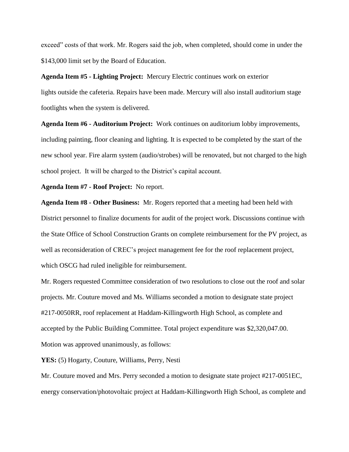exceed" costs of that work. Mr. Rogers said the job, when completed, should come in under the \$143,000 limit set by the Board of Education.

**Agenda Item #5 - Lighting Project:** Mercury Electric continues work on exterior lights outside the cafeteria. Repairs have been made. Mercury will also install auditorium stage footlights when the system is delivered.

**Agenda Item #6 - Auditorium Project:** Work continues on auditorium lobby improvements, including painting, floor cleaning and lighting. It is expected to be completed by the start of the new school year. Fire alarm system (audio/strobes) will be renovated, but not charged to the high school project. It will be charged to the District's capital account.

**Agenda Item #7 - Roof Project:** No report.

**Agenda Item #8 - Other Business:** Mr. Rogers reported that a meeting had been held with District personnel to finalize documents for audit of the project work. Discussions continue with the State Office of School Construction Grants on complete reimbursement for the PV project, as well as reconsideration of CREC's project management fee for the roof replacement project, which OSCG had ruled ineligible for reimbursement.

Mr. Rogers requested Committee consideration of two resolutions to close out the roof and solar projects. Mr. Couture moved and Ms. Williams seconded a motion to designate state project #217-0050RR, roof replacement at Haddam-Killingworth High School, as complete and accepted by the Public Building Committee. Total project expenditure was \$2,320,047.00. Motion was approved unanimously, as follows:

**YES:** (5) Hogarty, Couture, Williams, Perry, Nesti

Mr. Couture moved and Mrs. Perry seconded a motion to designate state project #217-0051EC, energy conservation/photovoltaic project at Haddam-Killingworth High School, as complete and